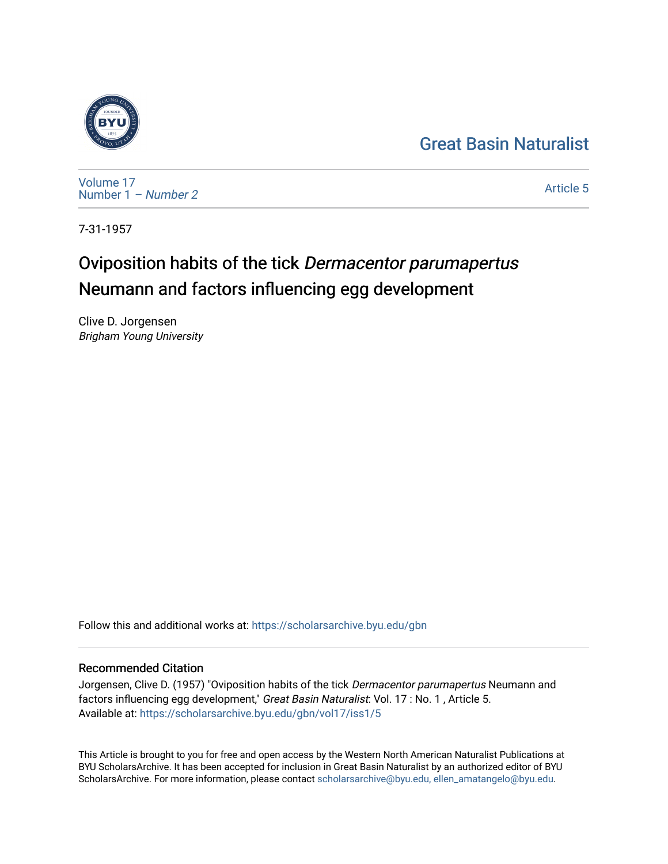# [Great Basin Naturalist](https://scholarsarchive.byu.edu/gbn)



[Volume 17](https://scholarsarchive.byu.edu/gbn/vol17) [Number 1](https://scholarsarchive.byu.edu/gbn/vol17/iss1) – Number 2

[Article 5](https://scholarsarchive.byu.edu/gbn/vol17/iss1/5) 

7-31-1957

# Oviposition habits of the tick Dermacentor parumapertus Neumann and factors influencing egg development

Clive D. Jorgensen Brigham Young University

Follow this and additional works at: [https://scholarsarchive.byu.edu/gbn](https://scholarsarchive.byu.edu/gbn?utm_source=scholarsarchive.byu.edu%2Fgbn%2Fvol17%2Fiss1%2F5&utm_medium=PDF&utm_campaign=PDFCoverPages) 

## Recommended Citation

Jorgensen, Clive D. (1957) "Oviposition habits of the tick Dermacentor parumapertus Neumann and factors influencing egg development," Great Basin Naturalist: Vol. 17 : No. 1, Article 5. Available at: [https://scholarsarchive.byu.edu/gbn/vol17/iss1/5](https://scholarsarchive.byu.edu/gbn/vol17/iss1/5?utm_source=scholarsarchive.byu.edu%2Fgbn%2Fvol17%2Fiss1%2F5&utm_medium=PDF&utm_campaign=PDFCoverPages)

This Article is brought to you for free and open access by the Western North American Naturalist Publications at BYU ScholarsArchive. It has been accepted for inclusion in Great Basin Naturalist by an authorized editor of BYU ScholarsArchive. For more information, please contact [scholarsarchive@byu.edu, ellen\\_amatangelo@byu.edu.](mailto:scholarsarchive@byu.edu,%20ellen_amatangelo@byu.edu)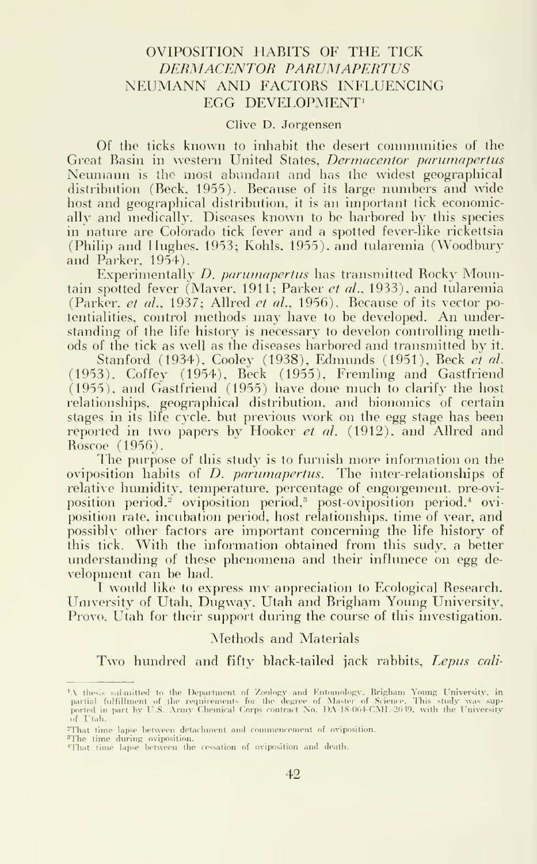### OVIPOSITION HABITS OF THE TICK DERMACENTOR PARUMAPERTUS NEUMANN AND FACTORS INFLUENCING EGG DEVELOPMENT<sup>1</sup>

#### Clive D. Jorgensen

Of the ticks known to inhabit the desert connnunities of the Great Basin in western United States, Dermacentor parumapertus Neumann is the most abundant and has the widest geographical distribution (Beck, 1955). Because of its large numbers and wide host and geographical distribution, it is an important tick economically and medically. Diseases known to be harbored by this species in nature are Colorado tick fever and a spotted fever-like rickettsia (Philip and Hughes. 1953; Kohls, 1955), and tularemia (Woodbury and Parker, 1954).

Experimentally D. parumapertus has transmitted Rocky Mountain spotted fever (Maver, 1911; Parker *et al.*, 1933), and tularemia (Parker, et al., 1937; Allred et al., 1956). Because of its vector po-tentialities, control methods may have to be developed. An understanding of the life history is necessary to develop controlling methods of the tick as well as the diseases harbored and transmitted by it.

Stanford (1934), Cooley (1938), Edmunds (1951), Beck *et al*. (1953), Coffey (1954), Beck (1955), Fremling and Gastfriend (1955), and Gastfriend (1955) have done much to clarify the host relationships, geographical distribution, and bionomics of certain stages in its life cycle, but previous work on the egg stage has been reported in two papers by Hooker *et al.* (1912), and Allred and Roscoe (1956).

The purpose of this study is to furnish more information on the oviposition habits of *D. parumapertus*. The inter-relationships of relative humidity, temperature, percentage of engorgement, pre-oviposition period,<sup>2</sup> oviposition period,<sup>3</sup> post-oviposition period.<sup>4</sup> oviposition rate, incubation period, host relationships, time of year, and possibly other factors are important concerning the life history of this tick. With the information obtained from this sudy, a better understanding of these phenomena and their influnece on egg de velopment can be had.

<sup>I</sup> would like to express mv appreciation to Ecological Research, University of Utah, Dugway, Utah and Brigham Young University, Provo, Utah for their support during the course of this investigation.

Methods and Materials

Two hundred and fifty black-tailed jack rabbits, Lepus cali-

<sup>&</sup>lt;sup>1</sup>A thesis submitted to the Department of Zoology and Entomology, Brigham Young University, in partial fulfillment of the requirements for the degree of Master of Science. This study was supported in part by U.S. Army Che

<sup>&</sup>lt;sup>2</sup>That time lapse between detachment and commencement of oviposition.

<sup>&#</sup>x27;The time during oviposition.<br>'That time lapse between the cessation of oviposition and death.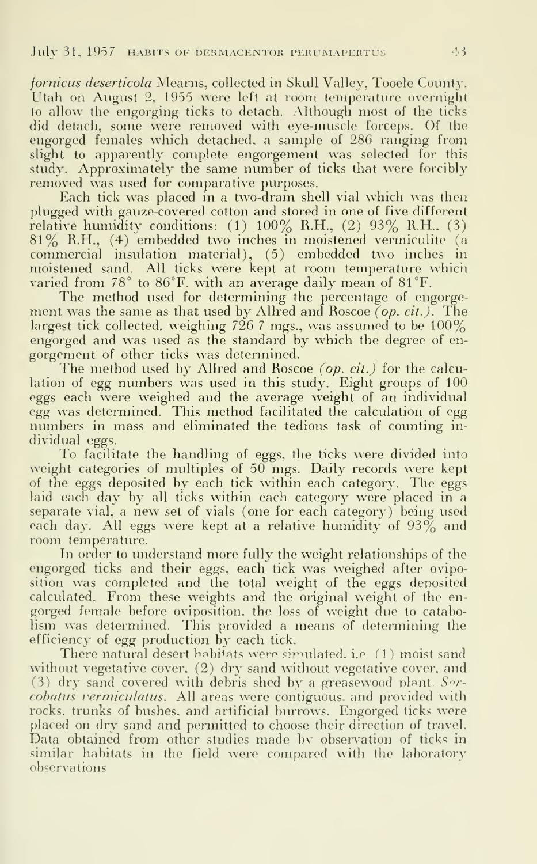fornicus deserticola Mearns, collected in Skull Valley, Tooele County, Utah on August 2, 1955 were left at room temperature overnight to allow the engorging ticks to detach. Although most of the ticks did detach, some were removed with eye-muscle forceps. Of the engorged females which detached, a sample of 286 ranging from slight to apparently complete engorgement was selected for this study. Approximately the same number of ticks that were forcibly removed was used for comparative purposes.

Each tick was placed in a two-dram shell vial which was then plugged with gauze-covered cotton and stored in one of five different relative humidity conditions:  $(1)$  100% R.H.,  $(2)$  93% R.H.,  $(3)$ 81% R.H., (4) embedded two inches in moistened vermiculite (a commercial insulation material), (5) embedded two inches in moistened sand. All ticks were kept at room temperature which varied from 78° to 86°F. with an average daily mean of 81°F.

The method used for determining the percentage of engorgement was the same as that used by Allred and Roscoe (op. cit.). The largest tick collected, weighing 726 7 mgs., was assumed to be 100% engorged and was used as the standard by which the degree of en gorgement of other ticks was determined.

The method used by Allred and Roscoe (op. cit.) for the calculation of egg numbers was used in this study. Eight groups of 100 eggs each were weighed and the average weight of an individual egg was determined. This method facilitated the calculation of egg numbers in mass and eliminated the tedious task of counting in dividual eggs.

To facilitate the handling of eggs, the ticks were divided into weight categories of multiples of 50 mgs. Daily records were kept of the eggs deposited by each tick within each category. The eggs laid each day by all ticks within each category were placed in a separate vial, <sup>a</sup> new set of vials (one for each category) being used each day. All eggs were kept at a relative humidity of  $93\%$  and room temperature.

In order to understand more fully the weight relationships of the engorged ticks and their eggs, each tick was weighed after oviposition was completed and the total weight of the eggs deposited calculated. From these weights and the original weight of the en gorged female before oviposition, the loss of weight due to catabolism was determined. This provided a means of determining the efficiency of egg production by each tick.

There natural desert habitats were simulated, i.e.  $(1)$  moist sand without vegetative cover,  $(2)$  dry sand without vegetative cover, and (3) dry sand covered with debris shed by a greasewood plant.  $S^{\eta}$ cobatus vermiculatus. All areas were contiguous, and provided with rocks, trunks of bushes, and artificial burrows. Engorged ticks were placed on dry sand and permitted to choose their direction of travel. Data obtained from other studies made by observation of ticks in similar habitats in the field were compared with the laboratory observations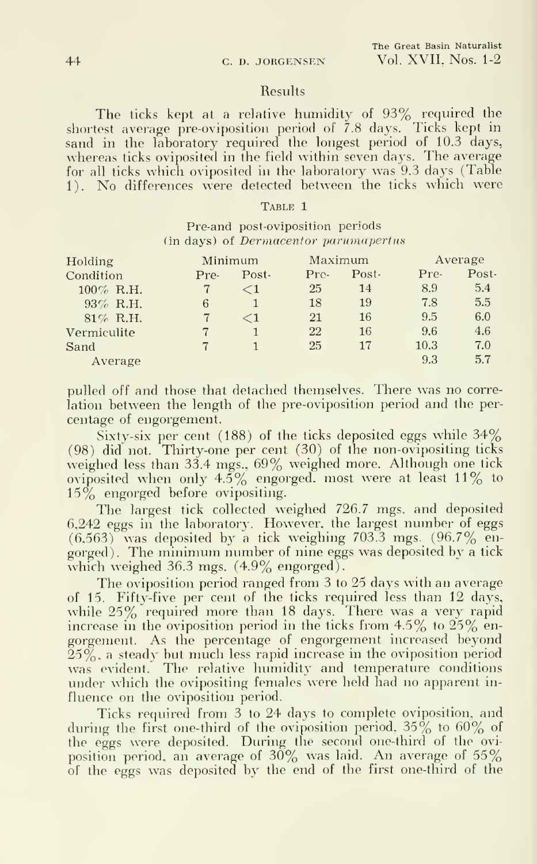#### Results

The ticks kept at <sup>a</sup> relative humidity of 93% required the shortest average pre-oviposition period of 7.8 days. Ticks kept in sand in the laboratory required the longest period of 10.3 days, whereas ticks oviposited in the field within seven days. The average for all ticks which oviposited in the laboratory was 9.3 days (Table 1). No differences were detected between the ticks which were

#### TABLE 1

### Pre-and post-oviposition periods (in days) of Dermacentor parumapertus

| Holding      | Minimum |          | Maximum |       | Average |         |
|--------------|---------|----------|---------|-------|---------|---------|
| Condition    | Pre-    | Post-    | Pre-    | Post- | Pre-    | $Post-$ |
| $100\%$ R.H. |         | $\leq 1$ | 25      | 14    | 8.9     | 5.4     |
| $93\%$ R.H.  | 6       |          | 18      | 19    | 7.8     | 5.5     |
| $81\%$ R.H.  |         | $\leq 1$ | 21      | 16    | 9.5     | 6.0     |
| Vermiculite  |         |          | 22      | 16    | 9.6     | 4.6     |
| Sand         |         |          | 25      | 17    | 10.3    | 7.0     |
| Average      |         |          |         |       | 9.3     | 5.7     |

pulled off and those that detached themselves. There was no correlation between the length of the pre-oviposition period and the percentage of engorgement.

Sixty-six per cent (188) of the ticks deposited eggs while 34% (98) did not. Thirty-one per cent (30) of the non-ovipositing ticks weighed less than 33.4 mgs., 69% weighed more. Although one tick oviposited when only  $4.5\%$  engorged, most were at least 11% to 15% engorged before ovipositing.

The largest tick collected weighed 726.7 mgs. and deposited 6,242 eggs in the laboratory. However, the largest number of eggs  $(6,563)$  was deposited by a tick weighing 703.3 mgs.  $(96.7\%$  engorged). The minimum number of nine eggs was deposited by a tick which weighed  $36.3$  mgs.  $(4.9\%$  engorged).

The oviposition period ranged from 3 to 25 days with an average of 15. Fifty-five per cent of the ticks required less than 12 days, while 25% required more than 18 days. There was a very rapid increase in the oviposition period in the ticks from  $4.5\%$  to  $25\%$  engorgement. As the percentage of engorgement increased beyond  $25\%$ , a steady but much less rapid increase in the oviposition period was evident. The relative humidity and temperature conditions under which the ovipositing females were held had no apparent influence on the oviposition period.

Ticks required from 3 to 24 days to complete oviposition, and during the first one-third of the oviposition period,  $35\%$  to  $60\%$  of the eggs were deposited. During the second one-third of the oviposition period, an average of  $30\%$  was laid. An average of  $55\%$ of the eggs was deposited by the end of the first one-third of the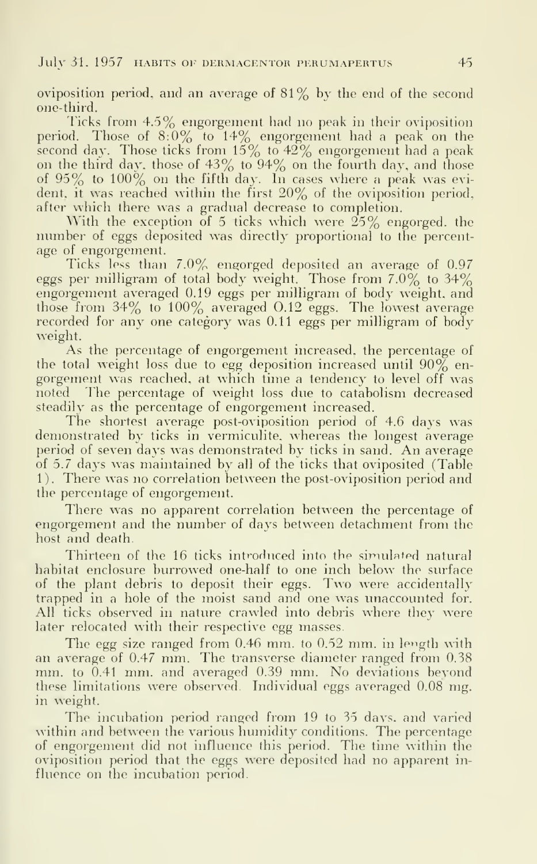oviposition period, and an average of 81% by the end of the second one-third.

Ticks from 4.5% engorgement had no peak in their oviposition period. Those of  $8.0\%$  to  $14\%$  engorgement had a peak on the second day. Those ticks from  $15\%$  to  $42\%$  engorgement had a peak on the third day, those of  $43\%$  to  $94\%$  on the fourth day, and those of  $95\%$  to  $100\%$  on the fifth day. In cases where a peak was evident, it was reached within the first 20% of the oviposition period, after which there was a gradual decrease to completion.

With the exception of 5 ticks which were  $25\%$  engorged, the number of eggs deposited was directly proportional to the percentage of engorgement.

Ticks less than 7.0% engorged deposited an average of 0.97 eggs per milligram of total body weight. Those from 7.0% to 34% engorgement averaged 0.19 eggs per milligram of body weight, and those from 34% to 100% averaged 0.12 eggs. The lowest average recorded for any one category was 0.11 eggs per milligram of body weight.

As the percentage of engorgement increased, the percentage of the total weight loss due to egg deposition increased until  $90\%$  engorgement was reached, at which time a tendency to level off was noted The percentage of weight loss due to catabolism decreased steadily as the percentage of engorgement increased.

The shortest average post-oviposition period of 4.6 days was demonstrated by ticks in vermiculite. whereas the longest average period of seven days was demonstrated by ticks in sand. An average of 5.7 days was maintained by all of the ticks that oviposited (Table 1). There was no correlation between the post-oviposition period and the percentage of engorgement.

There was no apparent correlation between the percentage of engorgement and the number of days between detachment from the host and death.

Thirteen of the 16 ticks introduced into the simulated natural habitat enclosure burrowed one-half to one inch below the surface of the plant debris to deposit their eggs. Two were accidentally trapped in a hole of the moist sand and one was unaccounted for. All ticks observed in nature crawled into debris where they were later relocated with their respective egg masses.

The egg size ranged from  $0.46$  mm. to  $0.52$  mm. in length with an average of 0.47 mm. The transverse diameter ranged from 0.38 mm. to 0.41 mm. and averaged 0.39 mm. No deviations beyond these limitations were observed. Individual eggs averaged 0.08 mg. in weight.

The incubation period ranged from 19 to 35 days, and varied within and between the various humidity conditions. The percentage of engorgement did not influence this period. The time within the oviposition period that the eggs were deposited had no apparent in fluence on the incubation period.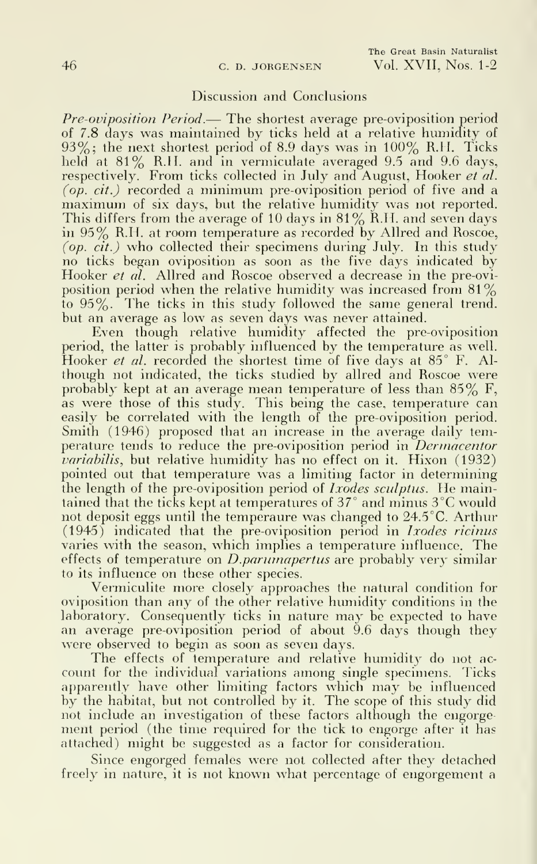### Discussion and Conclusions

Pre-oviposition Period.— The shortest average pre-oviposition period of 7.8 days was maintained by ticks held at a relative humidity of  $93\%$ ; the next shortest period of 8.9 days was in  $100\%$  R.H. Ticks held at 81% R.H. and in vermiculate averaged 9.5 and 9.6 days, respectively. From ticks collected in July and August, Hooker et al. (*op. cit.*) recorded a minimum pre-oviposition period of five and a maximum of six days, but the relative humidity was not reported. This differs from the average of 10 days in 81%  $K.H.$  and seven days in 95% R.H. at room temperature as recorded by Allred and Roscoe, (op. cit.) who collected their specimens during July. In this study no ticks began oviposition as soon as the five days indicated by Hooker *et al.* Allred and Roscoe observed a decrease in the pre-oviposition period when the relative humidity was increased from 81% to 95%. The ticks in this study followed the same general trend, but an average as low as seven days was never attained.

Even though relative humidity affected the pre-oviposition period, the latter is probably influenced by the temperature as well. Hooker *et al.* recorded the shortest time of five days at 85° F. Although not indicated, the ticks studied by allred and Roscoe were probably kept at an average mean temperature of less than  $85\%$  F, as were those of this study. This being the case, temperature can easily be correlated with the length of the pre-oviposition period. Smith (1946) proposed that an increase in the average daily temperature tends to reduce the pre-oviposition period in *Dermacentor* variabilis, but relative humidity has no effect on it. Hixon (1932) pointed out that temperature was a limiting factor in determining the length of the pre-oviposition period of *Ixodes sculptus*. He maintained that the ticks kept at temperatures of 37° and minus 3°C would not deposit eggs until the temperaure was changed to 24.5 °C. Arthur (1945) indicated that the pre-oviposition period in Ixodes ricinus varies with the season, which implies a temperature influence. The effects of temperature on *D.parumapertus* are probably very similar to its influence on these other species.

Vermiculite more closely approaches the natural condition for oviposition than any of the other relative humidity conditions in the laboratory. Consequently ticks in nature may be expected to have an average pre-oviposition period of about 9.6 days though they were observed to begin as soon as seven days.

The effects of temperature and relative humidity do not ac count for the individual variations among single specimens. Ticks apparently have other limiting factors which may be influenced by the habitat, but not controlled by it. The scope of this study did not include an investigation of these factors although the engorgement period (the time required for the tick to engorge after it has attached) might be suggested as a factor for consideration.

Since engorged females were not collected after they detached freely in nature, it is not known what percentage of engorgement a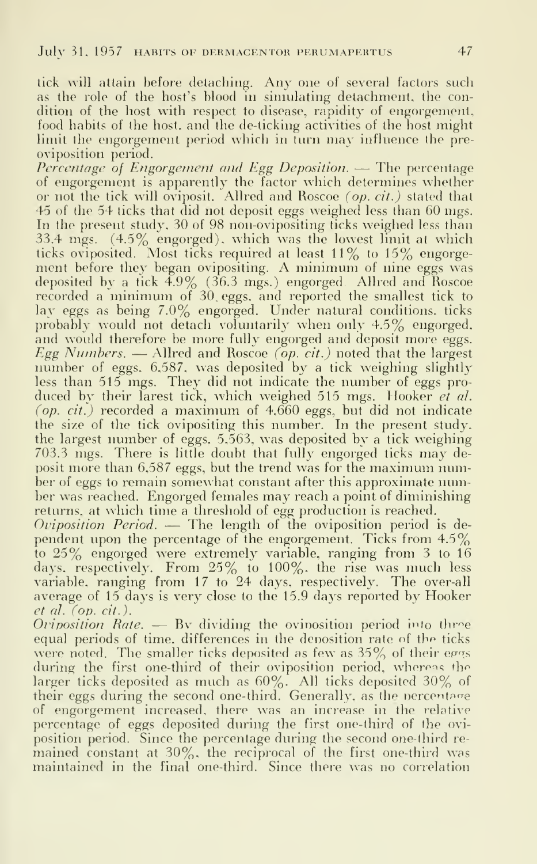tick will attain before detaching. Any one of several factors such as the role of the host's blood in simulating detachment, the condition of the host with respect to disease, rapidity of engorgement, food habits of the host, and the de-ticking activities of the host might limit the engorgement period which in turn may influence the pre oviposition period.

Percentage of Engorgement and Kgg Deposition. — The percentage of engorgement is apparently the factor which determines whether or not the tick will oviposit. Allred and Roscoe (op. cit.) stated that 45 of the 54 ticks that did not deposit eggs weighed less than 60 mgs. In the present study, 30 of 98 non-ovipositing ticks weighed less than 33.4 mgs. (4.5% engorged), which was the lowest limit at which ticks oviposited. Most ticks required at least 11% to 15% engorgement before they began ovipositing. A minimum of nine eggs was deposited by a tick 4.9% (36.3 mgs.) engorged. Allred and Roscoe recorded <sup>a</sup> minimum of 30. eggs, and reported the smallest tick to lay eggs as being 7.0% engorged. Under natural conditions, ticks probably would not detach voluntarily when only 4.5% engorged, and would therefore be more fully engorged and deposit more eggs. Egg Numbers. — Allred and Roscoe (op. cit.) noted that the largest number of eggs. 6,587, was deposited by a tick weighing slightly less than 515 mgs. They did not indicate the number of eggs pro duced by their larest tick, which weighed 515 mgs. Hooker et al. (op. cit.) recorded <sup>a</sup> maximum of 4,660 eggs, but did not indicate the size of the tick ovipositing this number. In the present study, the largest number of eggs, 5,563, was deposited by a tick weighing 703.3 mgs. There is little doubt that fully engorged ticks may deposit more than 6,587 eggs, but the trend was for the maximum number of eggs to remain somewhat constant after this approximate number was reached. Engorged females may reach <sup>a</sup> point of diminishing returns, at which time a threshold of egg production is reached.

Oviposition Period. — The length of the oviposition period is dependent upon the percentage of the engorgement. Ticks from 4.5 $\%$   $$ to 25% engorged were extremely variable, ranging from <sup>3</sup> to 16 days, respectively. From 25% to 100%. the rise was much less variable, ranging from 17 to 24 days, respectively. The over-all average of 15 days is very close to the 15.9 days reported by Hooker et al. fop. cit. ).

Oviposition Rate.  $-$  By dividing the ovinosition period into three equal periods of time, differences in the denosition rate of the ticks were noted. The smaller ticks deposited as few as  $35\%$  of their eggs during the first one-third of their oviposition period, whereas the larger ticks deposited as much as  $60\%$ . All ticks deposited 30% of their eggs during the second one-third. Generally, as the nercentage of engorgement increased, there was an increase in the relative percentage of eggs deposited during the first one-third of the ovi position period. Since the percentage during the second one-third re mained constant at 30%, the reciprocal of the first one-third was maintained in the final one-third. Since there was no correlation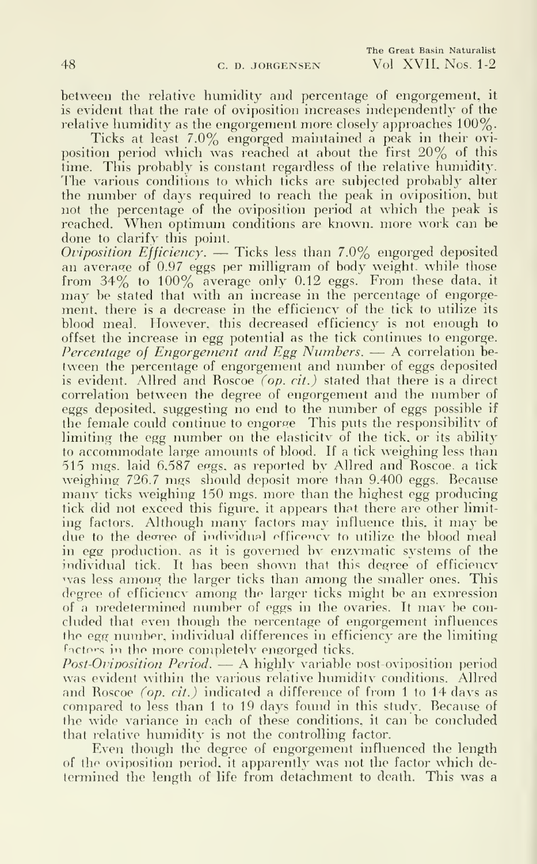between the relative humidity and percentage of engorgement, it is evident that the rate of oviposition increases independently of the relative humidity as the engorgement more closely approaches 100%.

Ticks at least 7.0% engorged maintained a peak in their ovi position period which was reached at about the first 20% of this time. This probably is constant regardless of the relative humidity. The various conditions to which ticks are subjected probably alter the number of days required to reach the peak in oviposition, but not the percentage of the oviposition period at which the peak is reached. When optimum conditions are known, more work can be done to clarify this point.

Oviposition Efficiency. — Ticks less than 7.0% engorged deposited an average of 0.97 eggs per milligram of body weight, while those from  $34\%$  to  $100\%$  average only 0.12 eggs. From these data, it may be stated that with an increase in the percentage of engorgement, there is a decrease in the efficiency of the tick to utilize its blood meal. However, this decreased efficiency is not enough to offset the increase in egg potential as the tick continues to engorge. Percentage of Engorgement and Egg Numbers. — <sup>A</sup> correlation be tween the percentage of engorgement and number of eggs deposited is evident. Allred and Roscoe *(op. cit.)* stated that there is a direct correlation between the degree of engorgement and the number of eggs deposited, suggesting no end to the number of eggs possible if the female could continue to engorge This puts the responsibility of limiting the egg number on the elasticitv of the tick, or its ability to accommodate large amounts of blood. If a tick weighing less than 515 mgs. laid 6,587 eggs, as reported by Allred and Roscoe, a tick weighing 726.7 mgs should deposit more than 9.400 eggs. Because many ticks weighing 150 mgs. more than the highest egg producing tick did not exceed this figure, it appears that there are other limit ing factors. Although many factors may influence this, it may be due to the degree of individual efficency to utilize the blood meal in egg production, as it is governed by enzymatic systems of the individual tick. It has been shown that this degree of efficiency was less among the larger ticks than among the smaller ones. This degree of efficiencv among the larger ticks might be an expression of <sup>a</sup> nredetermined number of eggs in the ovaries. It may be con cluded that even though the percentage of engorgement influences the egg number, individual differences in efficiency are the limiting factors in the more completely engorged ticks.

*Post-Oviposition Period.*  $\rightarrow$  A highly variable post-oviposition period was evident within the various relative humidity conditions. Allred and Roscoe *(op. cit.)* indicated a difference of from 1 to 14 days as compared to less than <sup>1</sup> to 19 days found in this study. Because of the wide variance in each of these conditions, it can be concluded that relative humidity is not the controlling factor.

Even though the degree of engorgement influenced the length of the oviposition period, it apparently was not the factor which determined the length of life from detachment to death. This was a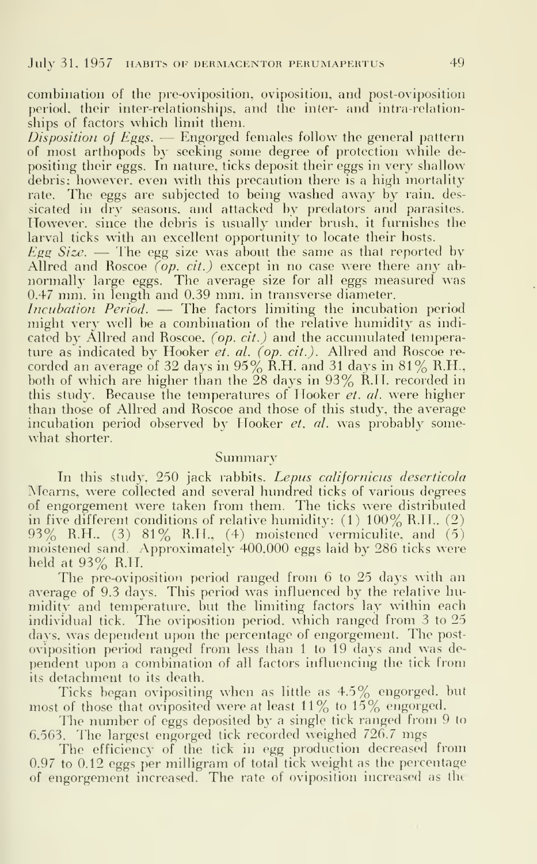combination of the pre-oviposition, oviposition, and post-oviposition period, their interrelationships, and the inter- and intra-relationships of factors which limit them.

Disposition of Eggs.  $-$  Engorged females follow the general pattern of most arthopods by seeking some degree of protection while de positing their eggs. In nature, ticks deposit their eggs in very shallow debris; however, even with this precaution there is a high mortality rate. The eggs are subjected to being washed away by rain, des sicated in dry seasons, and attacked by predators and parasites. However, since the debris is usually under brush, it furnishes the larval ticks with an excellent opportunity to locate their hosts.

Egg Size.  $\overline{E}$  The egg size was about the same as that reported by Allred and Roscoe  $\overline{(op. cit.)}$  except in no case were there any abnormally large eggs. The average size for all eggs measured was 0.47 mm. in length and 0.39 mm. in transverse diameter.

Incubation Period. — The factors limiting the incubation period might very well be a combination of the relative humidity as indi cated by Allred and Roscoe, (op. cit.) and the accumulated temperature as indicated by Hooker et. al. (op. cit.). Allred and Roscoe recorded an average of 32 days in 95% R.H. and 31 days in 81% R.H.,  $\hfill$ both of which are higher than the 28 days in 93% R.H. recorded in  $\qquad$ this study. Because the temperatures of Hooker et. al. were higher than those of Allred and Roscoe and those of this study, the average incubation period observed by Hooker et. al. was probably somewhat shorter.

### Summary

In this study, 250 jack rabbits. Lepus californicus deserticola Mearns, were collected and several hundred ticks of various degrees of engorgement were taken from them. The ticks were distributed in five different conditions of relative humidity: (1) 100% R.H.. (2)  $93\%$  R.H.. (3)  $81\%$  R.H., (4) moistened vermiculite, and (5) moistened sand. Approximatelv 400,000 eggs laid by 286 ticks were held at 93% R.H.

The pre-oviposition period ranged from 6 to 25 days with an average of 9.3 days. This period was influenced by the relative humidity and temperature, but the limiting factors lay within each individual tick. The oviposition period, which ranged from <sup>3</sup> to 25 days, was dependent upon the percentage of engorgement. The postoviposition period ranged from less than <sup>1</sup> to 19 days and was de pendent upon a combination of ah factors influencing the tick from its detachment to its death.

Ticks began ovipositing when as little as 4.5% engorged, but most of those that oviposited were at least  $11\%$  to  $15\%$  engorged.

The number of eggs deposited by <sup>a</sup> single tick ranged from 9 to 6,563. The largest engorged tick recorded weighed 726.7 mgs

The efficiency of the tick in egg production decreased from 0.97 to 0.12 eggs per milligram of total tick weight as the percentage of engorgement increased. The rate of oviposition increased as the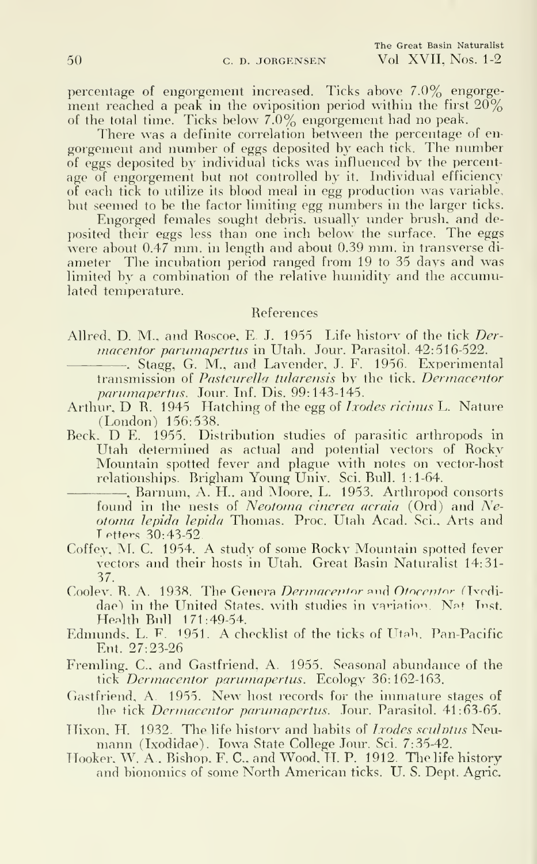percentage of engorgement increased. Ticks above 7.0% engorgement reached a peak in the oviposition period within the first  $20\%$ of the total time. Ticks below 7.0% engorgement had no peak.

There was a definite correlation between the percentage of en gorgement and number of eggs deposited by each tick. The number of eggs deposited by individual ticks was influenced by the percentage of engorgement but not controlled by it. Individual efficiency of each tick to utilize its blood meal in egg production was variable, but seemed to be the factor limiting egg numbers in the larger ticks.

Engorged females sought debris, usually under brush, and deposited their eggs less than one inch below the surface. The eggs were about 0.47 mm. in length and about 0.39 mm. in transverse di ameter The incubation period ranged from 19 to 35 days and was limited by a combination of the relative humidity and the accumulated temperature.

### References

- Allred, D. M., and Roscoe, E. J. 1955 Life history of the tick Dermacentor parumapertus in Utah. Jour. Parasitol. 42:516-522.
	- . Stagg, G. M., and Lavender, J. F. 1956. Experimental transmission of Pasteurella tularensis by the tick. Dermacentor parumapertus. Jour. Inf. Dis. 99:143-145.
- Arthur, D R. 1945 Hatching of the egg of *Ixodes ricinus* L. Nature (London) 156:538.
- Beck. D E. 1955. Distribution studies of parasitic arthropods in Utah determined as actual and potential vectors of Rocky Mountain spotted fever and plague with notes on vector-host relationships. Brigham Young Univ. Sci. Bull. 1:1-64.
	- , Barnum, A. H.. and Moore, L. 1953. Arthropod consorts found in the nests of *Neotoma cinerea acraia* (Ord) and Neotoma lepida lepida Thomas. Proc. Utah Acad. Sci., Arts and Tetters 30:43-52
- Coffey, M. C. 1954. A study of some Rocky Mountain spotted fever vectors and their hosts in Utah. Great Basin Naturalist 14:31- 37.
- Coolev. R. A. 1938. The Genera Dermacentor and Otocentor (Ivedidae) in the United States, with studies in variation. Nat Inst. Health Bull 171:49-54.
- Edmunds, L. F. 1951. A checklist of the ticks of Utah. Pan-Pacific Ent. 27:23-26
- Fremling, C, and Gastfriend, A. 1955. Seasonal abundance of the tick Dermacentor parumapertus. Ecology 36:162-163.
- Gastfriend, A. 1955. New host records for the immature stages of the tick Dermacentor parumapertus. Jour. Parasitol. 41:63-65.
- Hixon, H. 1932. The life history and habits of *Ixodes sculptus* Neumann (Ixodidae). Iowa State College Jour. Sci. 7:35-42.
- Hooker. W. A., Bishop. F. C. and Wood. IT. P. 1912. The life history and bionomics of some North American ticks. U.S. Dept. Agric.